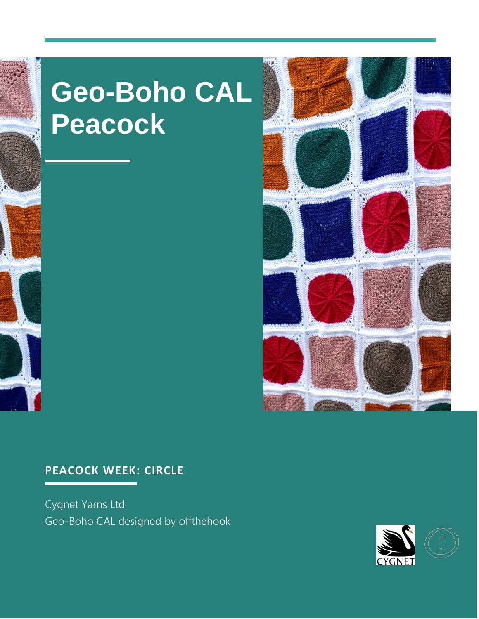## **Geo-Boho CAL Peacock**



## **PEACOCK WEEK: CIRCLE**

Cygnet Yarns Ltd Geo-Boho CAL designed by offthehook

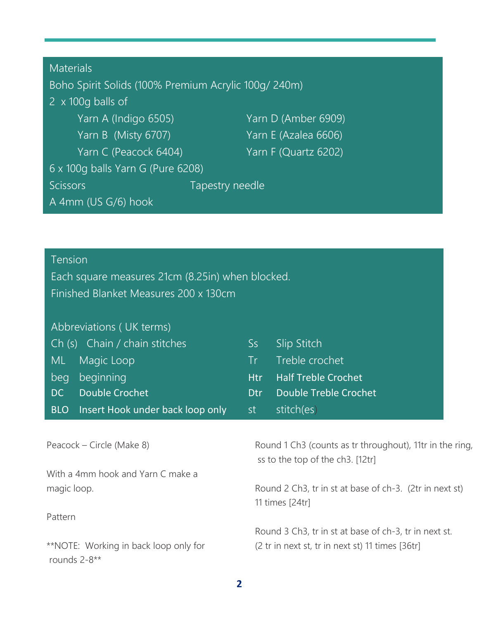| <b>Materials</b>                                     |                      |  |  |
|------------------------------------------------------|----------------------|--|--|
| Boho Spirit Solids (100% Premium Acrylic 100g/ 240m) |                      |  |  |
| $\sqrt{2}$ x 100g balls of                           |                      |  |  |
| Yarn A (Indigo 6505)                                 | Yarn D (Amber 6909)  |  |  |
| Yarn B (Misty 6707)                                  | Yarn E (Azalea 6606) |  |  |
| Yarn C (Peacock 6404)                                | Yarn F (Quartz 6202) |  |  |
| 6 x 100q balls Yarn G (Pure 6208)                    |                      |  |  |
| <b>Scissors</b>                                      | Tapestry needle      |  |  |
| A 4mm (US G/6) hook                                  |                      |  |  |
|                                                      |                      |  |  |

| <b>Tension</b><br>Each square measures 21cm (8.25in) when blocked.<br>Finished Blanket Measures 200 x 130cm |                 |                            |  |  |
|-------------------------------------------------------------------------------------------------------------|-----------------|----------------------------|--|--|
| Abbreviations (UK terms)                                                                                    |                 |                            |  |  |
| Ch (s) Chain / chain stitches                                                                               | Ss              | Slip Stitch                |  |  |
| Magic Loop<br>ML                                                                                            | Tr              | Treble crochet             |  |  |
| beginning<br>beg                                                                                            | <b>Htr</b>      | <b>Half Treble Crochet</b> |  |  |
| <b>Double Crochet</b><br>DC.                                                                                | D <sub>tr</sub> | Double Treble Crochet      |  |  |
| BLO Insert Hook under back loop only                                                                        | st -            | stitch(es)                 |  |  |

| Round 1 Ch3 (counts as tr throughout), 11tr in the ring,<br>ss to the top of the ch3. [12tr] |
|----------------------------------------------------------------------------------------------|
|                                                                                              |
| Round 2 Ch <sub>3</sub> , tr in st at base of ch-3. (2tr in next st)<br>11 times [24tr]      |
|                                                                                              |
| Round 3 Ch3, tr in st at base of ch-3, tr in next st.                                        |
| (2 tr in next st, tr in next st) 11 times [36tr]                                             |
|                                                                                              |